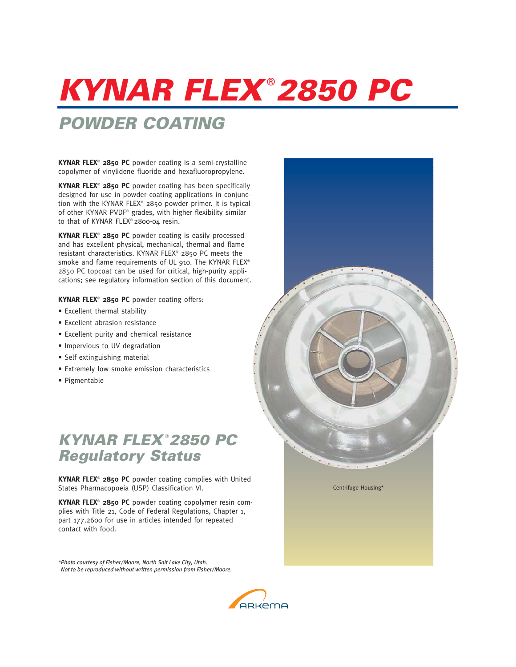## **KYNAR FLEX**® **2850 PC**

## **POWDER COATING**

**KYNAR FLEX**® **2850 PC** powder coating is a semi-crystalline copolymer of vinylidene fluoride and hexafluoropropylene.

**KYNAR FLEX**® **2850 PC** powder coating has been specifically designed for use in powder coating applications in conjunction with the KYNAR FLEX® 2850 powder primer. It is typical of other KYNAR PVDF® grades, with higher flexibility similar to that of KYNAR FLEX® 2800-04 resin.

**KYNAR FLEX**® **2850 PC** powder coating is easily processed and has excellent physical, mechanical, thermal and flame resistant characteristics. KYNAR FLEX® 2850 PC meets the smoke and flame requirements of UL 910. The KYNAR FLEX® 2850 PC topcoat can be used for critical, high-purity applications; see regulatory information section of this document.

**KYNAR FLEX**® **2850 PC** powder coating offers:

- Excellent thermal stability
- Excellent abrasion resistance
- Excellent purity and chemical resistance
- Impervious to UV degradation
- Self extinguishing material
- Extremely low smoke emission characteristics
- Pigmentable

## **KYNAR FLEX**® **2850 PC Regulatory Status**

**KYNAR FLEX**® **2850 PC** powder coating complies with United States Pharmacopoeia (USP) Classification VI.

**KYNAR FLEX**® **2850 PC** powder coating copolymer resin complies with Title 21, Code of Federal Regulations, Chapter 1, part 177.2600 for use in articles intended for repeated contact with food.

*\*Photo courtesy of Fisher/Moore, North Salt Lake City, Utah. Not to be reproduced without written permission from Fisher/Moore.*



Centrifuge Housing\*